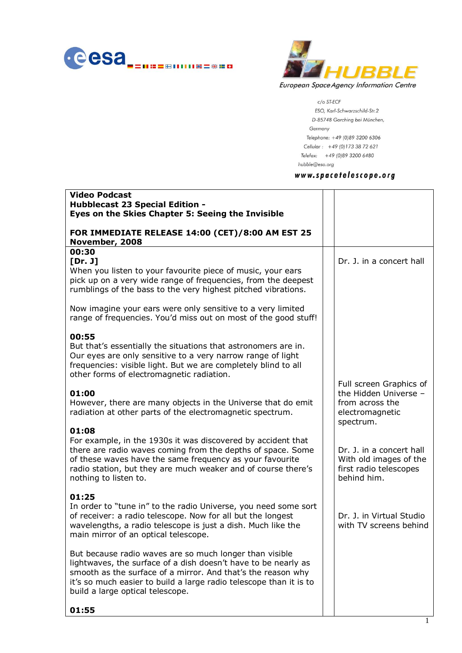



c/o ST-ECF ESO, Karl-Schwarzschild-Str.2 D-85748 Garching bei München, Germany Telephone: +49 (0)89 3200 6306 Cellular: +49 (0)173 38 72 621 Telefax: +49 (0)89 3200 6480 hubble@eso.org

# www.spacetelescope.org

| <b>Video Podcast</b><br><b>Hubblecast 23 Special Edition -</b><br>Eyes on the Skies Chapter 5: Seeing the Invisible                                                                                                                                                                                 |                                                                                                     |
|-----------------------------------------------------------------------------------------------------------------------------------------------------------------------------------------------------------------------------------------------------------------------------------------------------|-----------------------------------------------------------------------------------------------------|
| FOR IMMEDIATE RELEASE 14:00 (CET)/8:00 AM EST 25<br>November, 2008                                                                                                                                                                                                                                  |                                                                                                     |
| 00:30<br>[Dr. J]<br>When you listen to your favourite piece of music, your ears<br>pick up on a very wide range of frequencies, from the deepest<br>rumblings of the bass to the very highest pitched vibrations.                                                                                   | Dr. J. in a concert hall                                                                            |
| Now imagine your ears were only sensitive to a very limited<br>range of frequencies. You'd miss out on most of the good stuff!                                                                                                                                                                      |                                                                                                     |
| 00:55<br>But that's essentially the situations that astronomers are in.<br>Our eyes are only sensitive to a very narrow range of light<br>frequencies: visible light. But we are completely blind to all<br>other forms of electromagnetic radiation.                                               |                                                                                                     |
| 01:00<br>However, there are many objects in the Universe that do emit<br>radiation at other parts of the electromagnetic spectrum.                                                                                                                                                                  | Full screen Graphics of<br>the Hidden Universe -<br>from across the<br>electromagnetic<br>spectrum. |
| 01:08<br>For example, in the 1930s it was discovered by accident that<br>there are radio waves coming from the depths of space. Some<br>of these waves have the same frequency as your favourite<br>radio station, but they are much weaker and of course there's<br>nothing to listen to.          | Dr. J. in a concert hall<br>With old images of the<br>first radio telescopes<br>behind him.         |
| 01:25<br>In order to "tune in" to the radio Universe, you need some sort<br>of receiver: a radio telescope. Now for all but the longest<br>wavelengths, a radio telescope is just a dish. Much like the<br>main mirror of an optical telescope.                                                     | Dr. J. in Virtual Studio<br>with TV screens behind                                                  |
| But because radio waves are so much longer than visible<br>lightwaves, the surface of a dish doesn't have to be nearly as<br>smooth as the surface of a mirror. And that's the reason why<br>it's so much easier to build a large radio telescope than it is to<br>build a large optical telescope. |                                                                                                     |
| 01:55                                                                                                                                                                                                                                                                                               |                                                                                                     |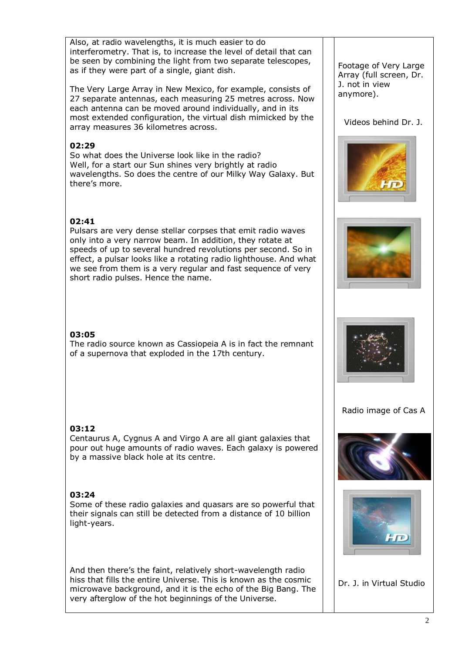Also, at radio wavelengths, it is much easier to do interferometry. That is, to increase the level of detail that can be seen by combining the light from two separate telescopes, as if they were part of a single, giant dish.

The Very Large Array in New Mexico, for example, consists of 27 separate antennas, each measuring 25 metres across. Now each antenna can be moved around individually, and in its most extended configuration, the virtual dish mimicked by the array measures 36 kilometres across.

## **02:29**

So what does the Universe look like in the radio? Well, for a start our Sun shines very brightly at radio wavelengths. So does the centre of our Milky Way Galaxy. But there's more.

## **02:41**

Pulsars are very dense stellar corpses that emit radio waves only into a very narrow beam. In addition, they rotate at speeds of up to several hundred revolutions per second. So in effect, a pulsar looks like a rotating radio lighthouse. And what we see from them is a very regular and fast sequence of very short radio pulses. Hence the name.

# **03:05**

The radio source known as Cassiopeia A is in fact the remnant of a supernova that exploded in the 17th century.

### **03:12**

Centaurus A, Cygnus A and Virgo A are all giant galaxies that pour out huge amounts of radio waves. Each galaxy is powered by a massive black hole at its centre.

### **03:24**

Some of these radio galaxies and quasars are so powerful that their signals can still be detected from a distance of 10 billion light-years.

And then there's the faint, relatively short-wavelength radio hiss that fills the entire Universe. This is known as the cosmic microwave background, and it is the echo of the Big Bang. The very afterglow of the hot beginnings of the Universe.

Footage of Very Large Array (full screen, Dr. J. not in view anymore).

### Videos behind Dr. J.







### Radio image of Cas A





Dr. J. in Virtual Studio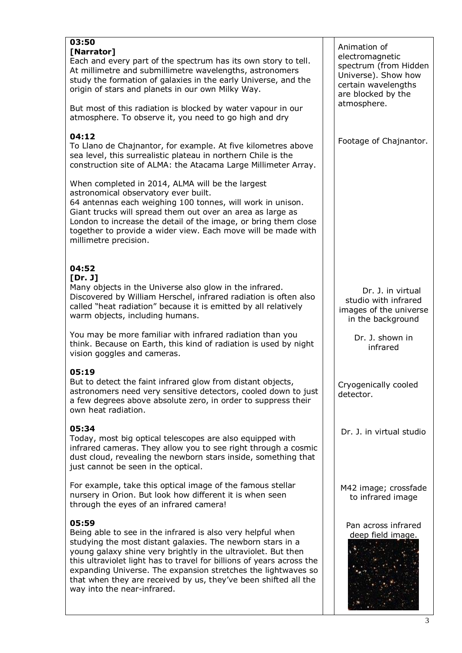| 03:50<br>[Narrator]<br>Each and every part of the spectrum has its own story to tell.<br>At millimetre and submillimetre wavelengths, astronomers<br>study the formation of galaxies in the early Universe, and the<br>origin of stars and planets in our own Milky Way.<br>But most of this radiation is blocked by water vapour in our                                                                                                        | Animation of<br>electromagnetic<br>spectrum (from Hidden<br>Universe). Show how<br>certain wavelengths<br>are blocked by the<br>atmosphere. |
|-------------------------------------------------------------------------------------------------------------------------------------------------------------------------------------------------------------------------------------------------------------------------------------------------------------------------------------------------------------------------------------------------------------------------------------------------|---------------------------------------------------------------------------------------------------------------------------------------------|
| atmosphere. To observe it, you need to go high and dry                                                                                                                                                                                                                                                                                                                                                                                          |                                                                                                                                             |
| 04:12<br>To Llano de Chajnantor, for example. At five kilometres above<br>sea level, this surrealistic plateau in northern Chile is the<br>construction site of ALMA: the Atacama Large Millimeter Array.                                                                                                                                                                                                                                       | Footage of Chajnantor.                                                                                                                      |
| When completed in 2014, ALMA will be the largest<br>astronomical observatory ever built.<br>64 antennas each weighing 100 tonnes, will work in unison.<br>Giant trucks will spread them out over an area as large as<br>London to increase the detail of the image, or bring them close<br>together to provide a wider view. Each move will be made with<br>millimetre precision.                                                               |                                                                                                                                             |
|                                                                                                                                                                                                                                                                                                                                                                                                                                                 |                                                                                                                                             |
| 04:52<br>[Dr. J]<br>Many objects in the Universe also glow in the infrared.<br>Discovered by William Herschel, infrared radiation is often also<br>called "heat radiation" because it is emitted by all relatively<br>warm objects, including humans.                                                                                                                                                                                           | Dr. J. in virtual<br>studio with infrared<br>images of the universe<br>in the background                                                    |
| You may be more familiar with infrared radiation than you<br>think. Because on Earth, this kind of radiation is used by night<br>vision goggles and cameras.                                                                                                                                                                                                                                                                                    | Dr. J. shown in<br>infrared                                                                                                                 |
| 05:19<br>But to detect the faint infrared glow from distant objects,<br>astronomers need very sensitive detectors, cooled down to just<br>a few degrees above absolute zero, in order to suppress their<br>own heat radiation.                                                                                                                                                                                                                  | Cryogenically cooled<br>detector.                                                                                                           |
| 05:34<br>Today, most big optical telescopes are also equipped with<br>infrared cameras. They allow you to see right through a cosmic<br>dust cloud, revealing the newborn stars inside, something that<br>just cannot be seen in the optical.                                                                                                                                                                                                   | Dr. J. in virtual studio                                                                                                                    |
| For example, take this optical image of the famous stellar<br>nursery in Orion. But look how different it is when seen<br>through the eyes of an infrared camera!                                                                                                                                                                                                                                                                               | M42 image; crossfade<br>to infrared image                                                                                                   |
| 05:59<br>Being able to see in the infrared is also very helpful when<br>studying the most distant galaxies. The newborn stars in a<br>young galaxy shine very brightly in the ultraviolet. But then<br>this ultraviolet light has to travel for billions of years across the<br>expanding Universe. The expansion stretches the lightwaves so<br>that when they are received by us, they've been shifted all the<br>way into the near-infrared. | Pan across infrared<br>deep field image.                                                                                                    |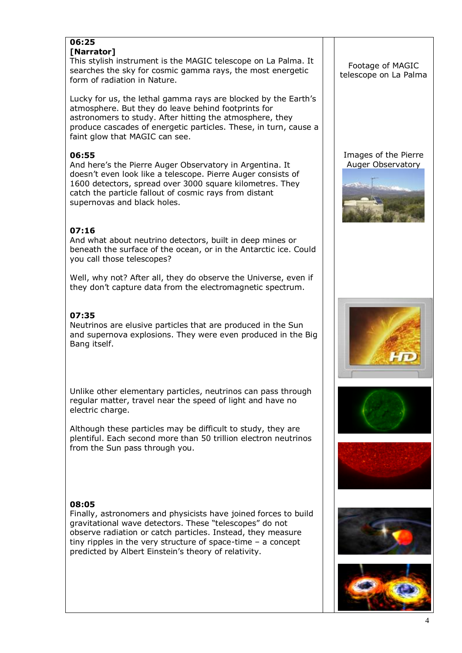#### **06:25 [Narrator]**

This stylish instrument is the MAGIC telescope on La Palma. It searches the sky for cosmic gamma rays, the most energetic form of radiation in Nature.

Lucky for us, the lethal gamma rays are blocked by the Earth's atmosphere. But they do leave behind footprints for astronomers to study. After hitting the atmosphere, they produce cascades of energetic particles. These, in turn, cause a faint glow that MAGIC can see.

### **06:55**

And here's the Pierre Auger Observatory in Argentina. It doesn't even look like a telescope. Pierre Auger consists of 1600 detectors, spread over 3000 square kilometres. They catch the particle fallout of cosmic rays from distant supernovas and black holes.

# **07:16**

And what about neutrino detectors, built in deep mines or beneath the surface of the ocean, or in the Antarctic ice. Could you call those telescopes?

Well, why not? After all, they do observe the Universe, even if they don't capture data from the electromagnetic spectrum.

## **07:35**

Neutrinos are elusive particles that are produced in the Sun and supernova explosions. They were even produced in the Big Bang itself.

Unlike other elementary particles, neutrinos can pass through regular matter, travel near the speed of light and have no electric charge.

Although these particles may be difficult to study, they are plentiful. Each second more than 50 trillion electron neutrinos from the Sun pass through you.

# **08:05**

Finally, astronomers and physicists have joined forces to build gravitational wave detectors. These "telescopes" do not observe radiation or catch particles. Instead, they measure tiny ripples in the very structure of space-time – a concept predicted by Albert Einstein's theory of relativity.

#### Footage of MAGIC telescope on La Palma